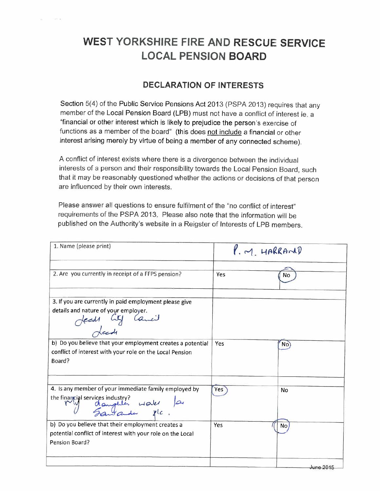## **WEST YORKSHIRE FIRE AND RESCUE SERVICE LOCAL PENSION BOARD**

and an

## **DECLARATION OF INTERESTS**

Section 5(4) of the Public Service Pensions Act 2013 (PSPA 2013) requires that any member of the Local Pension Board (LPB) must not have a conflict of interest ie. a "financial or other interest which is likely to prejudice the person's exercise of functions as a member of the board" (this does not include a financial or other interest arising merely by virtue of being a member of any connected scheme).

A conflict of interest exists where there is a divergence between the individual interests of a person and their responsibility towards the Local Pension Board, such that it may be reasonably questioned whether the actions or decisions of that person are influenced by their own interests.

Please answer all questions to ensure fulfilment of the "no conflict of interest" requirements of the PSPA 2013. Please also note that the information will be published on the Authority's website in a Reigster of Interests of LPB members.

| 1. Name (please print)                                     |     | $M_{1}$ HARRAND |
|------------------------------------------------------------|-----|-----------------|
|                                                            |     |                 |
| 2. Are you currently in receipt of a FFPS pension?         | Yes | Nο              |
| 3. If you are currently in paid employment please give     |     |                 |
| details and nature of your employer.<br>Heads City Camail  |     |                 |
| b) Do you believe that your employment creates a potential | Yes | No              |
| conflict of interest with your role on the Local Pension   |     |                 |
| Board?                                                     |     |                 |
| 4. Is any member of your immediate family employed by      | Yes | <b>No</b>       |
| the financial services industry?<br>daughter water a       |     |                 |
| b) Do you believe that their employment creates a          | Yes | N <sub>o</sub>  |
| potential conflict of interest with your role on the Local |     |                 |
| Pension Board?                                             |     |                 |
|                                                            |     | June 2015       |